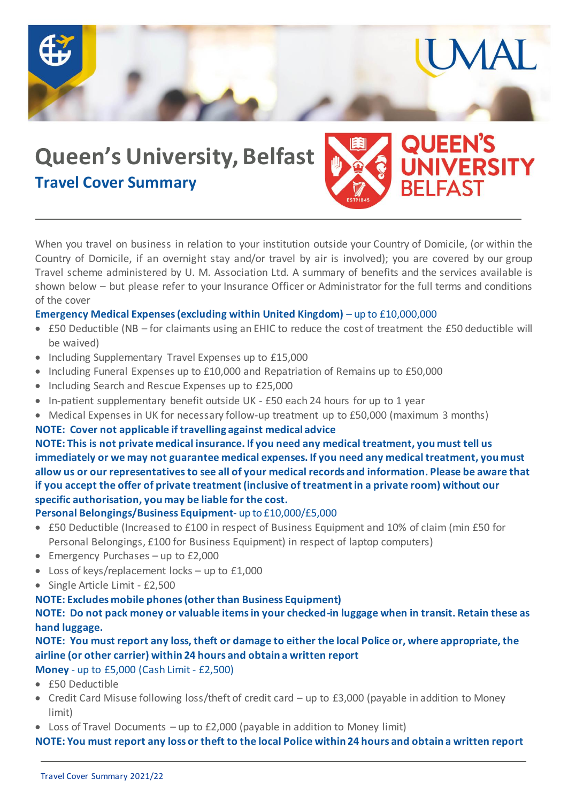

# **Queen's University, Belfast Travel Cover Summary**



MA

When you travel on business in relation to your institution outside your Country of Domicile, (or within the Country of Domicile, if an overnight stay and/or travel by air is involved); you are covered by our group Travel scheme administered by U. M. Association Ltd. A summary of benefits and the services available is shown below – but please refer to your Insurance Officer or Administrator for the full terms and conditions of the cover

## **Emergency Medical Expenses (excluding within United Kingdom)** – up to £10,000,000

- £50 Deductible (NB for claimants using an EHIC to reduce the cost of treatment the £50 deductible will be waived)
- Including Supplementary Travel Expenses up to £15,000
- Including Funeral Expenses up to £10,000 and Repatriation of Remains up to £50,000
- Including Search and Rescue Expenses up to £25,000
- In-patient supplementary benefit outside UK £50 each 24 hours for up to 1 year
- Medical Expenses in UK for necessary follow-up treatment up to £50,000 (maximum 3 months)

#### **NOTE: Cover not applicable if travelling against medical advice**

**NOTE: This is not private medical insurance. If you need any medical treatment, you must tell us immediately or we may not guarantee medical expenses. If you need any medical treatment, you must allow us or our representatives to see all of your medical records and information. Please be aware that if you accept the offer of private treatment (inclusive of treatment in a private room) without our specific authorisation, you may be liable for the cost.**

#### **Personal Belongings/Business Equipment**- up to £10,000/£5,000

- £50 Deductible (Increased to £100 in respect of Business Equipment and 10% of claim (min £50 for Personal Belongings, £100 for Business Equipment) in respect of laptop computers)
- Emergency Purchases up to £2,000
- Loss of keys/replacement locks up to £1,000
- Single Article Limit £2,500

## **NOTE: Excludes mobile phones (other than Business Equipment)**

**NOTE: Do not pack money or valuable items in your checked-in luggage when in transit. Retain these as hand luggage.**

# **NOTE: You must report any loss, theft or damage to either the local Police or, where appropriate, the airline (or other carrier) within 24 hours and obtain a written report**

**Money** - up to £5,000 (Cash Limit - £2,500)

- £50 Deductible
- Credit Card Misuse following loss/theft of credit card up to £3,000 (payable in addition to Money limit)
- Loss of Travel Documents  $-$  up to £2,000 (payable in addition to Money limit)

## **NOTE: You must report any loss or theft to the local Police within 24 hours and obtain a written report**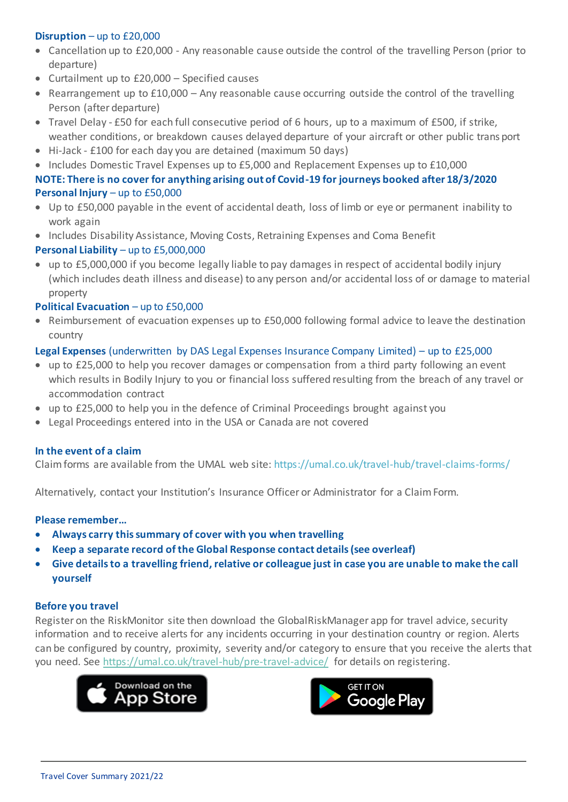## **Disruption** – up to £20,000

- Cancellation up to £20,000 Any reasonable cause outside the control of the travelling Person (prior to departure)
- Curtailment up to £20,000 Specified causes
- Rearrangement up to  $£10,000 -$  Any reasonable cause occurring outside the control of the travelling Person (after departure)
- Travel Delay £50 for each full consecutive period of 6 hours, up to a maximum of £500, if strike, weather conditions, or breakdown causes delayed departure of your aircraft or other public trans port
- Hi-Jack £100 for each day you are detained (maximum 50 days)
- Includes Domestic Travel Expenses up to £5,000 and Replacement Expenses up to £10,000

## **NOTE: There is no cover for anything arising out of Covid-19 for journeys booked after 18/3/2020 Personal Injury** – up to £50,000

- Up to £50,000 payable in the event of accidental death, loss of limb or eye or permanent inability to work again
- Includes Disability Assistance, Moving Costs, Retraining Expenses and Coma Benefit

## **Personal Liability** – up to £5,000,000

 up to £5,000,000 if you become legally liable to pay damages in respect of accidental bodily injury (which includes death illness and disease) to any person and/or accidental loss of or damage to material property

## **Political Evacuation** – up to £50,000

• Reimbursement of evacuation expenses up to £50,000 following formal advice to leave the destination country

## **Legal Expenses** (underwritten by DAS Legal Expenses Insurance Company Limited) – up to £25,000

- up to £25,000 to help you recover damages or compensation from a third party following an event which results in Bodily Injury to you or financial loss suffered resulting from the breach of any travel or accommodation contract
- up to £25,000 to help you in the defence of Criminal Proceedings brought against you
- Legal Proceedings entered into in the USA or Canada are not covered

## **In the event of a claim**

Claim forms are available from the UMAL web site: https://umal.co.uk/travel-hub/travel-claims-forms/

Alternatively, contact your Institution's Insurance Officer or Administrator for a Claim Form.

## **Please remember…**

- **Always carry this summary of cover with you when travelling**
- **Keep a separate record of the Global Response contact details (see overleaf)**
- **Give details to a travelling friend, relative or colleague just in case you are unable to make the call yourself**

## **Before you travel**

Register on the RiskMonitor site then download the GlobalRiskManager app for travel advice, security information and to receive alerts for any incidents occurring in your destination country or region. Alerts can be configured by country, proximity, severity and/or category to ensure that you receive the alerts that you need. See https://umal.co.uk/travel-hub/pre-travel-advice/ for details on registering.